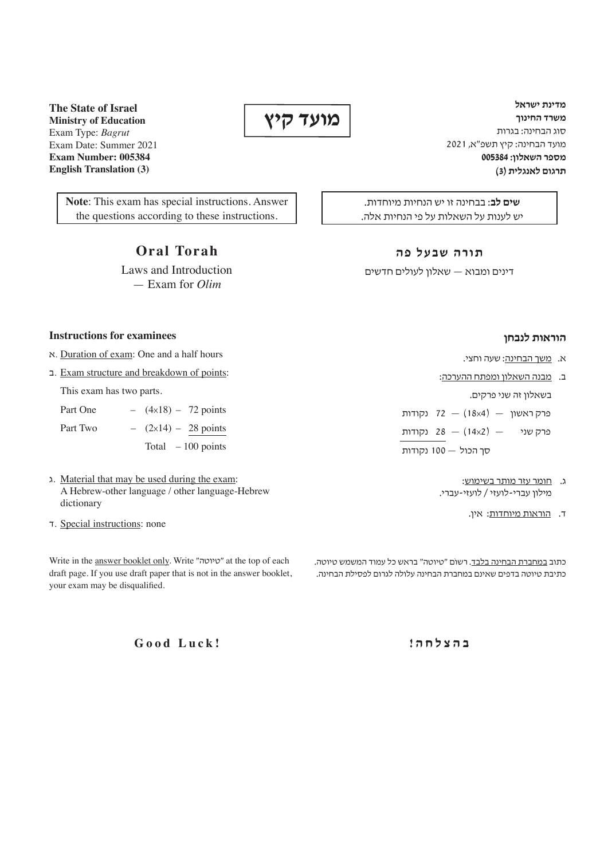**מדינת ישראל משרד החינוך** סוג הבחינה: בגרות מועד הבחינה: קיץ תשפ"א, 2021 **מספר השאלון: 005384 תרגום לאנגלית )3(**

**שים לב**: בבחינה זו יש הנחיות מיוחדות. יש לענות על השאלות על פי הנחיות אלה.

#### **תורה שבעל פה**

דינים ומבוא — שאלון לעולים חדשים

### **הוראות לנבחן**

- א. משך הבחינה: שעה וחצי.
- ב. מבנה השאלון ומפתח ההערכה:

בשאלון זה שני פרקים.

פרק ראשון  $(18\times4) - 72$  נקודות

פרק שני  $(14\times2)$  (14x2)  $-$ 

סך הכול — 100 נקודות

- ג. חומר עזר מותר בשימוש: מילון עברי-לועזי / לועזי-עברי.
	- ד. הוראות מיוחדות: אין.

כתוב במחברת הבחינה בלבד. רשוֹם "טיוטה" בראש כל עמוד המשמש טיוטה. כתיבת טיוטה בדפים שאינם במחברת הבחינה עלולה לגרום לפסילת הבחינה.

**ב ה צ ל ח ה !**

**The State of Israel Ministry of Education** Exam Type: *Bagrut* Exam Date: Summer 2021 **Exam Number: 005384 English Translation (3)**

> **Note**: This exam has special instructions. Answer the questions according to these instructions.

> > **Oral Torah**

Laws and Introduction — Exam for *Olim*

### **Instructions for examinees**

- א. Duration of exam: One and a half hours
- ב. Exam structure and breakdown of points:

This exam has two parts.

- Part One  $(4\times18) 72$  points Part Two  $(2\times14) - 28$  points Total – 100 points
- ג. Material that may be used during the exam: A Hebrew-other language / other language-Hebrew dictionary
- ד. Special instructions: none

Write in the answer booklet only. Write "טיוטה "at the top of each draft page. If you use draft paper that is not in the answer booklet, your exam may be disqualified.

**Good Luck!**

 **מועד קיץ**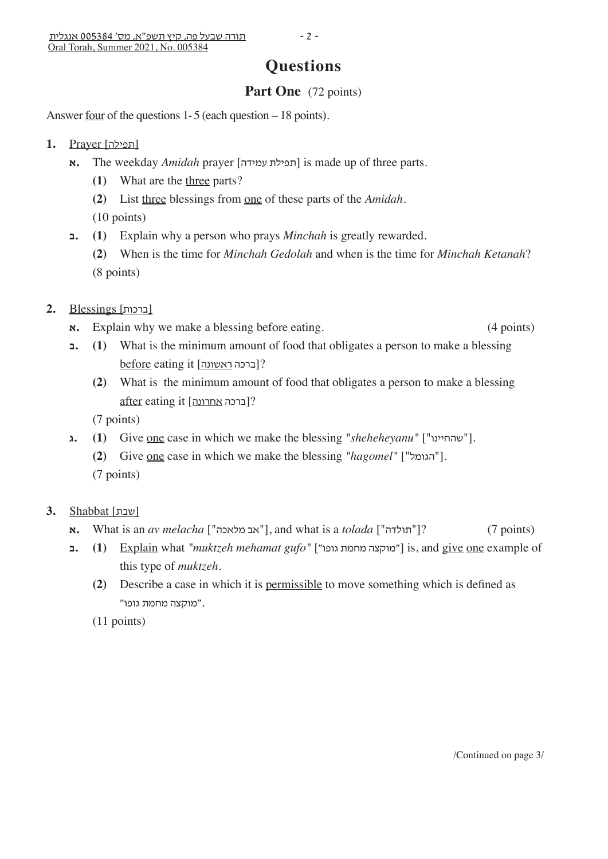# **Questions**

## Part One (72 points)

Answer <u>four</u> of the questions 1-5 (each question – 18 points).

- [תפילה] Prayer **1.**
	- **א.** The weekday *Amidah* prayer [תפילת עמידה] is made up of three parts.
		- **(1)** What are the three parts?
		- **(2)** List three blessings from one of these parts of the *Amidah*.
		- (10 points)
	- **ב.) 1 (**Explain why a person who prays *Minchah* is greatly rewarded.
		- **(2)** When is the time for *Minchah Gedolah* and when is the time for *Minchah Ketanah*? (8 points)
- [ברכות] Blessings **2.**
	- $\mathbf{x}$ **. Explain why we make a blessing before eating. (4 points)**
	- **ב.) 1 (**What is the minimum amount of food that obligates a person to make a blessing before eating it [ראשונה ברכה?[
		- **(2)** What is the minimum amount of food that obligates a person to make a blessing after eating it [ברכה אחרונה]?

(7 points)

- **). 1 1 (Cive one case in which we make the blessing** *"sheheheyanu"* **["שהחיינו"].** 
	- **(2)** Give one case in which we make the blessing *"hagomel"* ["הגומל[". (7 points)
- [שבת] Shabbat **3.**
	- **א.** What is an *av melacha* ["אב מלאכה"], and what is a *tolada* ["תולדה"]? (7 points)
	- **ב.) 1 (**Explain what *"muktzeh mehamat gufo"* ["גופו מחמת מוקצה ["is, and give one example of this type of *muktzeh*.
		- **(2)** Describe a case in which it is permissible to move something which is defined as ."מוקצה מחמת גופו"
		- (11 points)

/Continued on page 3/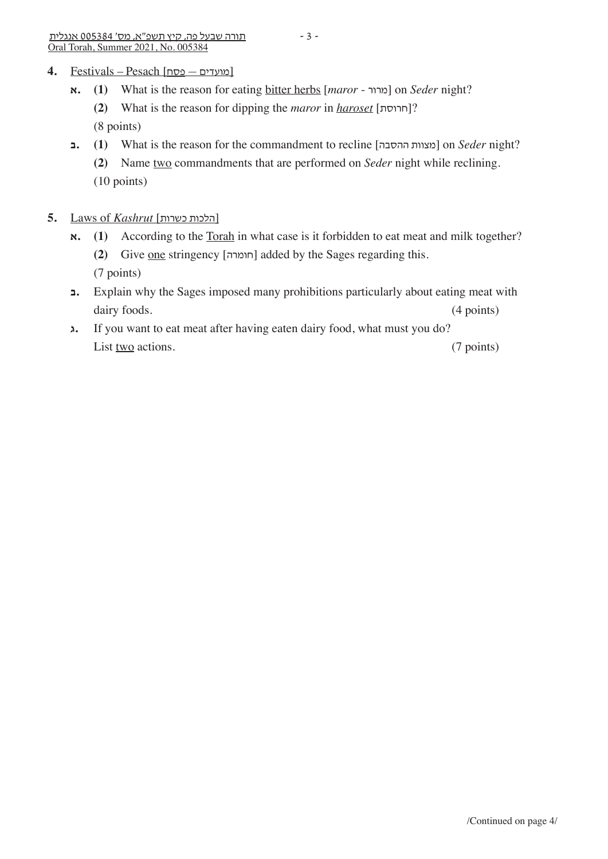### [מועדים — פסח] Pesach – Festivals **4.**

- **א.) 1 (**What is the reason for eating bitter herbs [*maror* מרור [on *Seder* night? **(2)** What is the reason for dipping the *maror* in *haroset* [חרוסת?[ (8 points)
- **1** (**1**) What is the reason for the commandment to recline [הצוות ההסבה] on *Seder* night?
	- **(2)** Name two commandments that are performed on *Seder* night while reclining. (10 points)
- **5.** Laws of *Kashrut* [כשרות הלכות[
	- $\mathbf{x}$ **.** (1) According to the <u>Torah</u> in what case is it forbidden to eat meat and milk together?  **(2)** Give one stringency [חומרה [added by the Sages regarding this. (7 points)
	- **ב.** Explain why the Sages imposed many prohibitions particularly about eating meat with dairy foods. (4 points)
	- **ג.** If you want to eat meat after having eaten dairy food, what must you do? List two actions. (7 points)